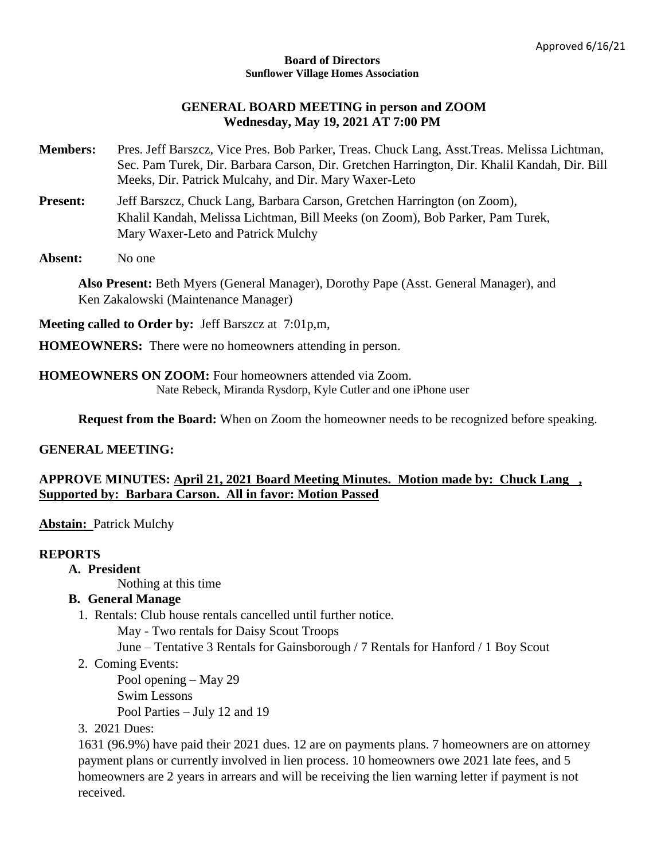#### **Board of Directors Sunflower Village Homes Association**

## **GENERAL BOARD MEETING in person and ZOOM Wednesday, May 19, 2021 AT 7:00 PM**

- **Members:** Pres. Jeff Barszcz, Vice Pres. Bob Parker, Treas. Chuck Lang, Asst.Treas. Melissa Lichtman, Sec. Pam Turek, Dir. Barbara Carson, Dir. Gretchen Harrington, Dir. Khalil Kandah, Dir. Bill Meeks, Dir. Patrick Mulcahy, and Dir. Mary Waxer-Leto
- Present: Jeff Barszcz, Chuck Lang, Barbara Carson, Gretchen Harrington (on Zoom), Khalil Kandah, Melissa Lichtman, Bill Meeks (on Zoom), Bob Parker, Pam Turek, Mary Waxer-Leto and Patrick Mulchy
- Absent: No one

**Also Present:** Beth Myers (General Manager), Dorothy Pape (Asst. General Manager), and Ken Zakalowski (Maintenance Manager)

**Meeting called to Order by:** Jeff Barszcz at 7:01p,m,

**HOMEOWNERS:** There were no homeowners attending in person.

#### **HOMEOWNERS ON ZOOM:** Four homeowners attended via Zoom. Nate Rebeck, Miranda Rysdorp, Kyle Cutler and one iPhone user

**Request from the Board:** When on Zoom the homeowner needs to be recognized before speaking.

### **GENERAL MEETING:**

# **APPROVE MINUTES: April 21, 2021 Board Meeting Minutes. Motion made by: Chuck Lang , Supported by: Barbara Carson. All in favor: Motion Passed**

**Abstain:** Patrick Mulchy

### **REPORTS**

**A. President**

Nothing at this time

# **B. General Manage**

- 1. Rentals: Club house rentals cancelled until further notice.
	- May Two rentals for Daisy Scout Troops
	- June Tentative 3 Rentals for Gainsborough / 7 Rentals for Hanford / 1 Boy Scout
- 2. Coming Events:

Pool opening – May 29

Swim Lessons

Pool Parties – July 12 and 19

3. 2021 Dues:

1631 (96.9%) have paid their 2021 dues. 12 are on payments plans. 7 homeowners are on attorney payment plans or currently involved in lien process. 10 homeowners owe 2021 late fees, and 5 homeowners are 2 years in arrears and will be receiving the lien warning letter if payment is not received.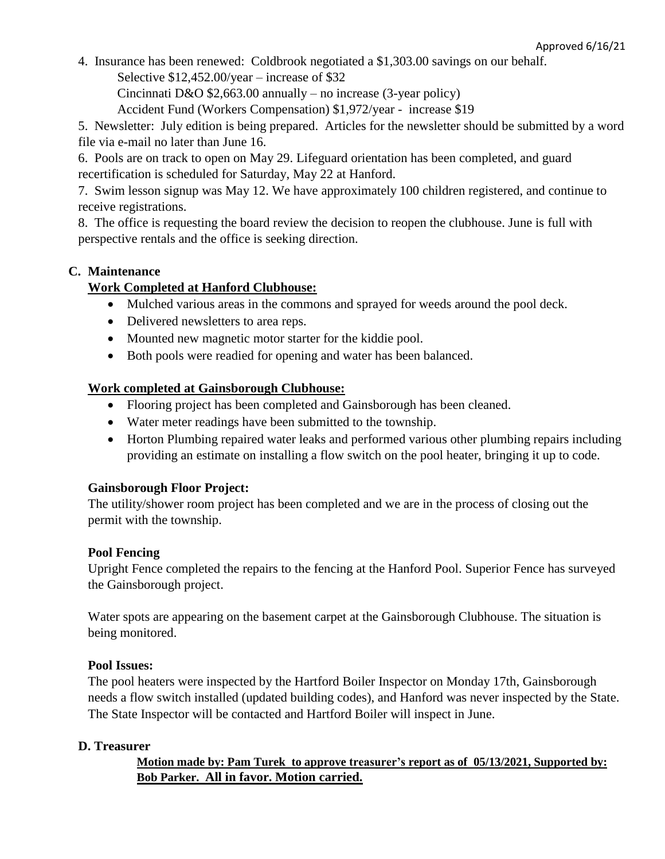4. Insurance has been renewed: Coldbrook negotiated a \$1,303.00 savings on our behalf.

Selective \$12,452.00/year – increase of \$32

Cincinnati D&O  $$2,663.00$  annually – no increase (3-year policy)

Accident Fund (Workers Compensation) \$1,972/year - increase \$19

5. Newsletter: July edition is being prepared. Articles for the newsletter should be submitted by a word file via e-mail no later than June 16.

6. Pools are on track to open on May 29. Lifeguard orientation has been completed, and guard recertification is scheduled for Saturday, May 22 at Hanford.

7. Swim lesson signup was May 12. We have approximately 100 children registered, and continue to receive registrations.

8. The office is requesting the board review the decision to reopen the clubhouse. June is full with perspective rentals and the office is seeking direction.

# **C. Maintenance**

# **Work Completed at Hanford Clubhouse:**

- Mulched various areas in the commons and sprayed for weeds around the pool deck.
- Delivered newsletters to area reps.
- Mounted new magnetic motor starter for the kiddie pool.
- Both pools were readied for opening and water has been balanced.

# **Work completed at Gainsborough Clubhouse:**

- Flooring project has been completed and Gainsborough has been cleaned.
- Water meter readings have been submitted to the township.
- Horton Plumbing repaired water leaks and performed various other plumbing repairs including providing an estimate on installing a flow switch on the pool heater, bringing it up to code.

# **Gainsborough Floor Project:**

The utility/shower room project has been completed and we are in the process of closing out the permit with the township.

# **Pool Fencing**

Upright Fence completed the repairs to the fencing at the Hanford Pool. Superior Fence has surveyed the Gainsborough project.

Water spots are appearing on the basement carpet at the Gainsborough Clubhouse. The situation is being monitored.

# **Pool Issues:**

The pool heaters were inspected by the Hartford Boiler Inspector on Monday 17th, Gainsborough needs a flow switch installed (updated building codes), and Hanford was never inspected by the State. The State Inspector will be contacted and Hartford Boiler will inspect in June.

# **D. Treasurer**

**Motion made by: Pam Turek to approve treasurer's report as of 05/13/2021, Supported by: Bob Parker. All in favor. Motion carried.**